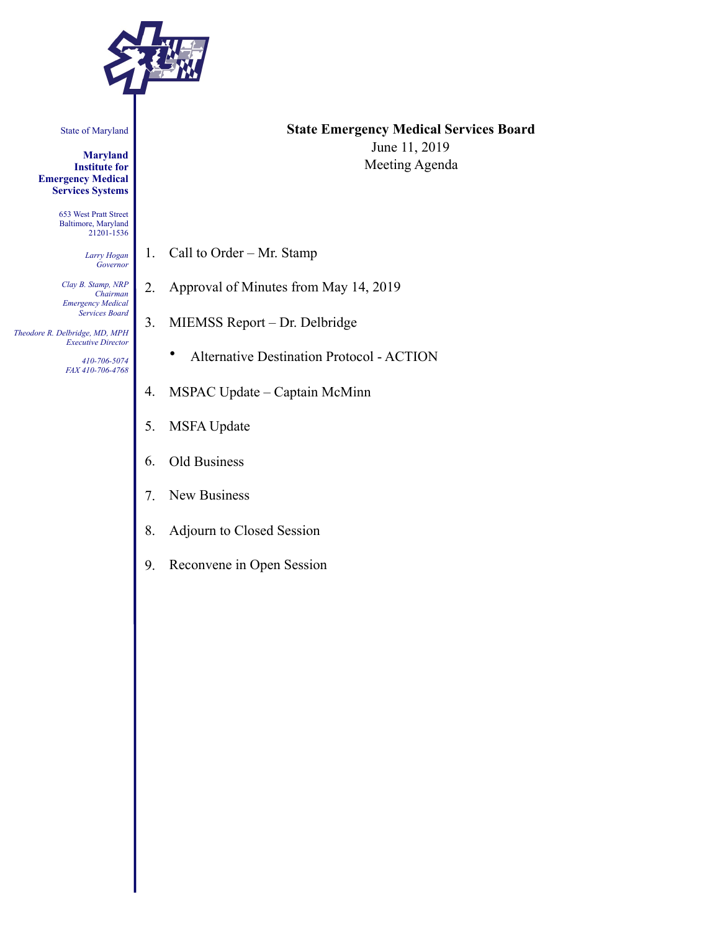

State of Maryland

**Maryland Institute for Emergency Medical Services Systems** 

> 653 West Pratt Street Baltimore, Maryland 21201-1536

> > *Larry Hogan Governor*

*Clay B. Stamp, NRP Chairman Emergency Medical Services Board* 

 *Theodore R. Delbridge, MD, MPH Executive Director*

> *410-706-5074 FAX 410-706-4768*

## **State Emergency Medical Services Board**  June 11, 2019 Meeting Agenda

- 1. Call to Order Mr. Stamp
- 2. Approval of Minutes from May 14, 2019
- 3. MIEMSS Report Dr. Delbridge
	- Alternative Destination Protocol ACTION
- 4. MSPAC Update Captain McMinn
- 5. MSFA Update
- 6. Old Business
- 7. New Business
- 8. Adjourn to Closed Session
- 9. Reconvene in Open Session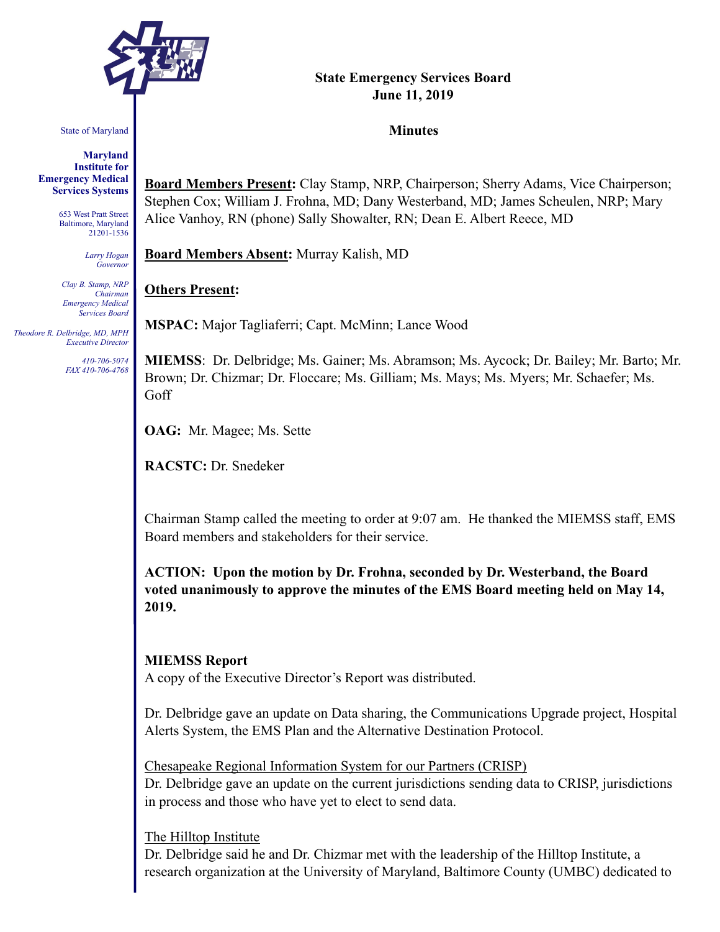

State of Maryland

**Maryland Institute for Emergency Medical Services Systems** 

> 653 West Pratt Street Baltimore, Maryland 21201-1536

> > *Larry Hogan Governor*

*Clay B. Stamp, NRP Chairman Emergency Medical Services Board* 

 *Theodore R. Delbridge, MD, MPH Executive Director*

> *410-706-5074 FAX 410-706-4768*

## **State Emergency Services Board June 11, 2019**

#### **Minutes**

**Board Members Present:** Clay Stamp, NRP, Chairperson; Sherry Adams, Vice Chairperson; Stephen Cox; William J. Frohna, MD; Dany Westerband, MD; James Scheulen, NRP; Mary Alice Vanhoy, RN (phone) Sally Showalter, RN; Dean E. Albert Reece, MD

**Board Members Absent:** Murray Kalish, MD

### **Others Present:**

**MSPAC:** Major Tagliaferri; Capt. McMinn; Lance Wood

**MIEMSS**: Dr. Delbridge; Ms. Gainer; Ms. Abramson; Ms. Aycock; Dr. Bailey; Mr. Barto; Mr. Brown; Dr. Chizmar; Dr. Floccare; Ms. Gilliam; Ms. Mays; Ms. Myers; Mr. Schaefer; Ms. Goff

**OAG:** Mr. Magee; Ms. Sette

**RACSTC:** Dr. Snedeker

Chairman Stamp called the meeting to order at 9:07 am. He thanked the MIEMSS staff, EMS Board members and stakeholders for their service.

**ACTION: Upon the motion by Dr. Frohna, seconded by Dr. Westerband, the Board voted unanimously to approve the minutes of the EMS Board meeting held on May 14, 2019.** 

#### **MIEMSS Report**

A copy of the Executive Director's Report was distributed.

Dr. Delbridge gave an update on Data sharing, the Communications Upgrade project, Hospital Alerts System, the EMS Plan and the Alternative Destination Protocol.

Chesapeake Regional Information System for our Partners (CRISP)

Dr. Delbridge gave an update on the current jurisdictions sending data to CRISP, jurisdictions in process and those who have yet to elect to send data.

#### The Hilltop Institute

Dr. Delbridge said he and Dr. Chizmar met with the leadership of the Hilltop Institute, a research organization at the University of Maryland, Baltimore County (UMBC) dedicated to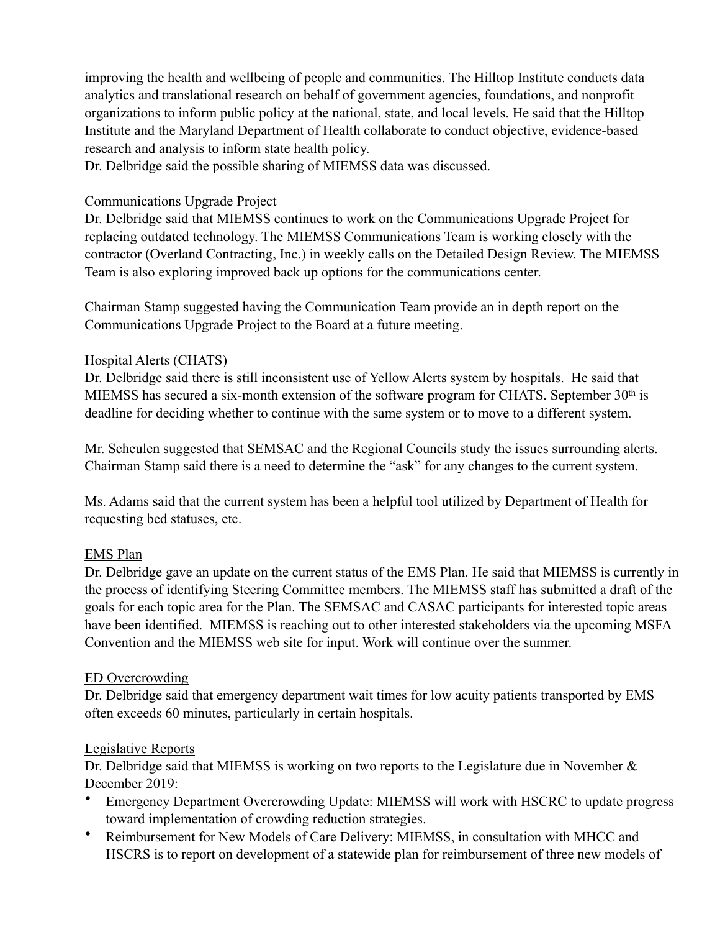improving the health and wellbeing of people and communities. The Hilltop Institute conducts data analytics and translational research on behalf of government agencies, foundations, and nonprofit organizations to inform public policy at the national, state, and local levels. He said that the Hilltop Institute and the Maryland Department of Health collaborate to conduct objective, evidence-based research and analysis to inform state health policy.

Dr. Delbridge said the possible sharing of MIEMSS data was discussed.

## Communications Upgrade Project

Dr. Delbridge said that MIEMSS continues to work on the Communications Upgrade Project for replacing outdated technology. The MIEMSS Communications Team is working closely with the contractor (Overland Contracting, Inc.) in weekly calls on the Detailed Design Review. The MIEMSS Team is also exploring improved back up options for the communications center.

Chairman Stamp suggested having the Communication Team provide an in depth report on the Communications Upgrade Project to the Board at a future meeting.

## Hospital Alerts (CHATS)

Dr. Delbridge said there is still inconsistent use of Yellow Alerts system by hospitals. He said that MIEMSS has secured a six-month extension of the software program for CHATS. September 30<sup>th</sup> is deadline for deciding whether to continue with the same system or to move to a different system.

Mr. Scheulen suggested that SEMSAC and the Regional Councils study the issues surrounding alerts. Chairman Stamp said there is a need to determine the "ask" for any changes to the current system.

Ms. Adams said that the current system has been a helpful tool utilized by Department of Health for requesting bed statuses, etc.

# EMS Plan

Dr. Delbridge gave an update on the current status of the EMS Plan. He said that MIEMSS is currently in the process of identifying Steering Committee members. The MIEMSS staff has submitted a draft of the goals for each topic area for the Plan. The SEMSAC and CASAC participants for interested topic areas have been identified. MIEMSS is reaching out to other interested stakeholders via the upcoming MSFA Convention and the MIEMSS web site for input. Work will continue over the summer.

# ED Overcrowding

Dr. Delbridge said that emergency department wait times for low acuity patients transported by EMS often exceeds 60 minutes, particularly in certain hospitals.

### Legislative Reports

Dr. Delbridge said that MIEMSS is working on two reports to the Legislature due in November & December 2019:

- Emergency Department Overcrowding Update: MIEMSS will work with HSCRC to update progress toward implementation of crowding reduction strategies.
- Reimbursement for New Models of Care Delivery: MIEMSS, in consultation with MHCC and HSCRS is to report on development of a statewide plan for reimbursement of three new models of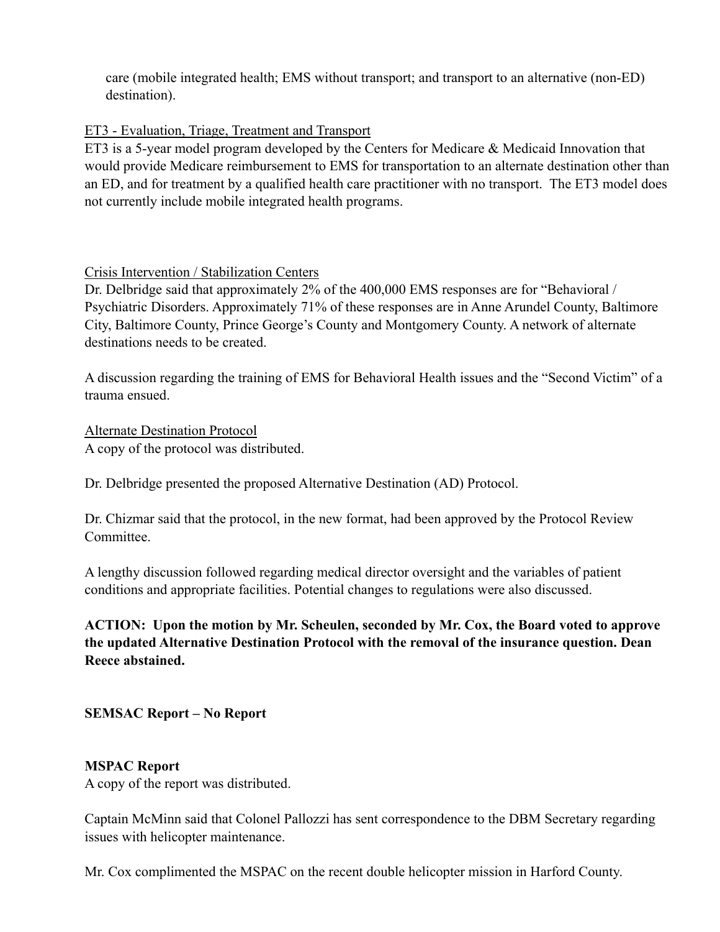care (mobile integrated health; EMS without transport; and transport to an alternative (non-ED) destination).

## ET3 - Evaluation, Triage, Treatment and Transport

ET3 is a 5-year model program developed by the Centers for Medicare & Medicaid Innovation that would provide Medicare reimbursement to EMS for transportation to an alternate destination other than an ED, and for treatment by a qualified health care practitioner with no transport. The ET3 model does not currently include mobile integrated health programs.

## Crisis Intervention / Stabilization Centers

Dr. Delbridge said that approximately 2% of the 400,000 EMS responses are for "Behavioral / Psychiatric Disorders. Approximately 71% of these responses are in Anne Arundel County, Baltimore City, Baltimore County, Prince George's County and Montgomery County. A network of alternate destinations needs to be created.

A discussion regarding the training of EMS for Behavioral Health issues and the "Second Victim" of a trauma ensued.

Alternate Destination Protocol A copy of the protocol was distributed.

Dr. Delbridge presented the proposed Alternative Destination (AD) Protocol.

Dr. Chizmar said that the protocol, in the new format, had been approved by the Protocol Review **Committee** 

A lengthy discussion followed regarding medical director oversight and the variables of patient conditions and appropriate facilities. Potential changes to regulations were also discussed.

**ACTION: Upon the motion by Mr. Scheulen, seconded by Mr. Cox, the Board voted to approve the updated Alternative Destination Protocol with the removal of the insurance question. Dean Reece abstained.**

# **SEMSAC Report – No Report**

### **MSPAC Report**

A copy of the report was distributed.

Captain McMinn said that Colonel Pallozzi has sent correspondence to the DBM Secretary regarding issues with helicopter maintenance.

Mr. Cox complimented the MSPAC on the recent double helicopter mission in Harford County.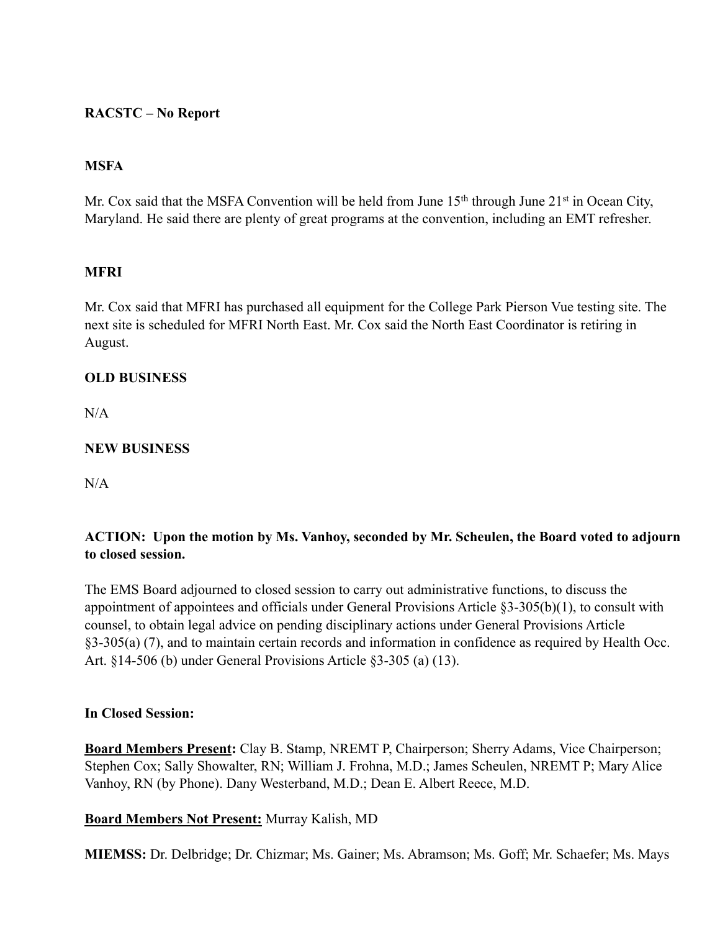## **RACSTC – No Report**

## **MSFA**

Mr. Cox said that the MSFA Convention will be held from June 15<sup>th</sup> through June 21<sup>st</sup> in Ocean City, Maryland. He said there are plenty of great programs at the convention, including an EMT refresher.

## **MFRI**

Mr. Cox said that MFRI has purchased all equipment for the College Park Pierson Vue testing site. The next site is scheduled for MFRI North East. Mr. Cox said the North East Coordinator is retiring in August.

### **OLD BUSINESS**

 $N/A$ 

### **NEW BUSINESS**

 $N/A$ 

## **ACTION: Upon the motion by Ms. Vanhoy, seconded by Mr. Scheulen, the Board voted to adjourn to closed session.**

The EMS Board adjourned to closed session to carry out administrative functions, to discuss the appointment of appointees and officials under General Provisions Article §3-305(b)(1), to consult with counsel, to obtain legal advice on pending disciplinary actions under General Provisions Article §3-305(a) (7), and to maintain certain records and information in confidence as required by Health Occ. Art. §14-506 (b) under General Provisions Article §3-305 (a) (13).

### **In Closed Session:**

**Board Members Present:** Clay B. Stamp, NREMT P, Chairperson; Sherry Adams, Vice Chairperson; Stephen Cox; Sally Showalter, RN; William J. Frohna, M.D.; James Scheulen, NREMT P; Mary Alice Vanhoy, RN (by Phone). Dany Westerband, M.D.; Dean E. Albert Reece, M.D.

### **Board Members Not Present:** Murray Kalish, MD

**MIEMSS:** Dr. Delbridge; Dr. Chizmar; Ms. Gainer; Ms. Abramson; Ms. Goff; Mr. Schaefer; Ms. Mays